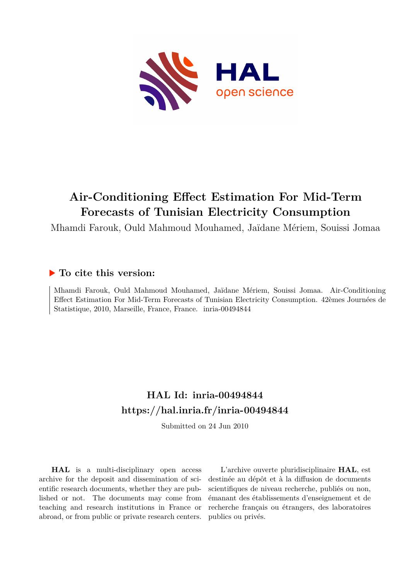

# **Air-Conditioning Effect Estimation For Mid-Term Forecasts of Tunisian Electricity Consumption**

Mhamdi Farouk, Ould Mahmoud Mouhamed, Jaïdane Mériem, Souissi Jomaa

### **To cite this version:**

Mhamdi Farouk, Ould Mahmoud Mouhamed, Jaïdane Mériem, Souissi Jomaa. Air-Conditioning Effect Estimation For Mid-Term Forecasts of Tunisian Electricity Consumption. 42èmes Journées de Statistique, 2010, Marseille, France, France. inria-00494844

## **HAL Id: inria-00494844 <https://hal.inria.fr/inria-00494844>**

Submitted on 24 Jun 2010

**HAL** is a multi-disciplinary open access archive for the deposit and dissemination of scientific research documents, whether they are published or not. The documents may come from teaching and research institutions in France or abroad, or from public or private research centers.

L'archive ouverte pluridisciplinaire **HAL**, est destinée au dépôt et à la diffusion de documents scientifiques de niveau recherche, publiés ou non, émanant des établissements d'enseignement et de recherche français ou étrangers, des laboratoires publics ou privés.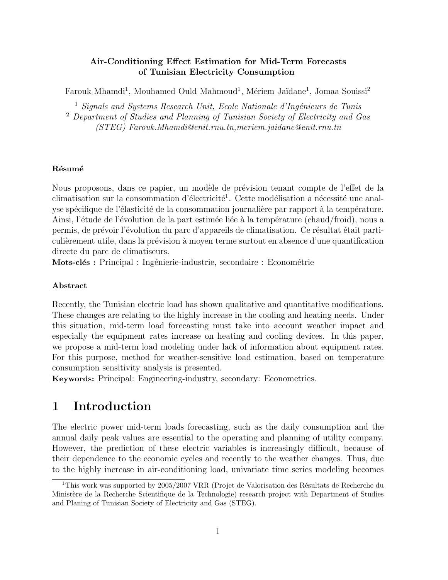#### Air-Conditioning Effect Estimation for Mid-Term Forecasts of Tunisian Electricity Consumption

Farouk Mhamdi<sup>1</sup>, Mouhamed Ould Mahmoud<sup>1</sup>, Mériem Jaïdane<sup>1</sup>, Jomaa Souissi<sup>2</sup>

 $<sup>1</sup>$  Signals and Systems Research Unit, Ecole Nationale d'Ingénieurs de Tunis</sup>

<sup>2</sup> Department of Studies and Planning of Tunisian Society of Electricity and Gas (STEG) Farouk.Mhamdi@enit.rnu.tn,meriem.jaidane@enit.rnu.tn

#### Résumé

Nous proposons, dans ce papier, un modèle de prévision tenant compte de l'effet de la climatisation sur la consommation d'électricité<sup>1</sup>. Cette modélisation a nécessité une analyse spécifique de l'élasticité de la consommation journalière par rapport à la température. Ainsi, l'étude de l'évolution de la part estimée liée à la température (chaud/froid), nous a permis, de prévoir l'évolution du parc d'appareils de climatisation. Ce résultat était particulièrement utile, dans la prévision à moyen terme surtout en absence d'une quantification directe du parc de climatiseurs.

Mots-clés : Principal : Ingénierie-industrie, secondaire : Econométrie

#### Abstract

Recently, the Tunisian electric load has shown qualitative and quantitative modifications. These changes are relating to the highly increase in the cooling and heating needs. Under this situation, mid-term load forecasting must take into account weather impact and especially the equipment rates increase on heating and cooling devices. In this paper, we propose a mid-term load modeling under lack of information about equipment rates. For this purpose, method for weather-sensitive load estimation, based on temperature consumption sensitivity analysis is presented.

Keywords: Principal: Engineering-industry, secondary: Econometrics.

### 1 Introduction

The electric power mid-term loads forecasting, such as the daily consumption and the annual daily peak values are essential to the operating and planning of utility company. However, the prediction of these electric variables is increasingly difficult, because of their dependence to the economic cycles and recently to the weather changes. Thus, due to the highly increase in air-conditioning load, univariate time series modeling becomes

<sup>&</sup>lt;sup>1</sup>This work was supported by 2005/2007 VRR (Projet de Valorisation des Résultats de Recherche du Ministère de la Recherche Scientifique de la Technologie) research project with Department of Studies and Planing of Tunisian Society of Electricity and Gas (STEG).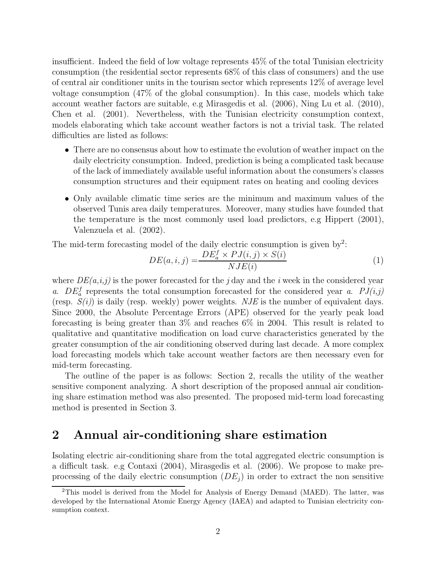insufficient. Indeed the field of low voltage represents 45% of the total Tunisian electricity consumption (the residential sector represents 68% of this class of consumers) and the use of central air conditioner units in the tourism sector which represents 12% of average level voltage consumption (47% of the global consumption). In this case, models which take account weather factors are suitable, e.g Mirasgedis et al. (2006), Ning Lu et al. (2010), Chen et al. (2001). Nevertheless, with the Tunisian electricity consumption context, models elaborating which take account weather factors is not a trivial task. The related difficulties are listed as follows:

- There are no consensus about how to estimate the evolution of weather impact on the daily electricity consumption. Indeed, prediction is being a complicated task because of the lack of immediately available useful information about the consumers's classes consumption structures and their equipment rates on heating and cooling devices
- Only available climatic time series are the minimum and maximum values of the observed Tunis area daily temperatures. Moreover, many studies have founded that the temperature is the most commonly used load predictors, e.g Hippert (2001), Valenzuela et al. (2002).

The mid-term forecasting model of the daily electric consumption is given by<sup>2</sup>:

$$
DE(a, i, j) = \frac{DE_a^f \times PJ(i, j) \times S(i)}{NJE(i)}
$$
\n(1)

where  $DE(a,i,j)$  is the power forecasted for the j day and the i week in the considered year a.  $DE_a^f$  represents the total consumption forecasted for the considered year a.  $PI(i,j)$ (resp.  $S(i)$ ) is daily (resp. weekly) power weights. NJE is the number of equivalent days. Since 2000, the Absolute Percentage Errors (APE) observed for the yearly peak load forecasting is being greater than 3% and reaches 6% in 2004. This result is related to qualitative and quantitative modification on load curve characteristics generated by the greater consumption of the air conditioning observed during last decade. A more complex load forecasting models which take account weather factors are then necessary even for mid-term forecasting.

The outline of the paper is as follows: Section 2, recalls the utility of the weather sensitive component analyzing. A short description of the proposed annual air conditioning share estimation method was also presented. The proposed mid-term load forecasting method is presented in Section 3.

### 2 Annual air-conditioning share estimation

Isolating electric air-conditioning share from the total aggregated electric consumption is a difficult task. e.g Contaxi (2004), Mirasgedis et al. (2006). We propose to make preprocessing of the daily electric consumption  $(DE_i)$  in order to extract the non sensitive

<sup>2</sup>This model is derived from the Model for Analysis of Energy Demand (MAED). The latter, was developed by the International Atomic Energy Agency (IAEA) and adapted to Tunisian electricity consumption context.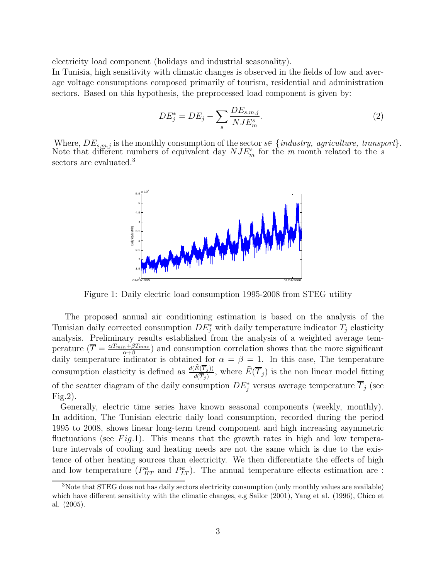electricity load component (holidays and industrial seasonality).

In Tunisia, high sensitivity with climatic changes is observed in the fields of low and average voltage consumptions composed primarily of tourism, residential and administration sectors. Based on this hypothesis, the preprocessed load component is given by:

$$
DE_j^* = DE_j - \sum_s \frac{DE_{s,m,j}}{NJE_m^s}.\tag{2}
$$

Where,  $DE_{s,m,j}$  is the monthly consumption of the sector  $s \in \{industry, \, \,agriculture, \, \, transport\}$ . Note that different numbers of equivalent day  $NJE_m^s$  for the m month related to the s sectors are evaluated.<sup>3</sup>



Figure 1: Daily electric load consumption 1995-2008 from STEG utility

The proposed annual air conditioning estimation is based on the analysis of the Tunisian daily corrected consumption  $DE_j^*$  with daily temperature indicator  $T_j$  elasticity analysis. Preliminary results established from the analysis of a weighted average temperature  $\left(\overline{T}\right) = \frac{\alpha T_{min} + \beta T_{max}}{\alpha + \beta}$  $\frac{n+\beta I_{max}}{\alpha+\beta}$  and consumption correlation shows that the more significant daily temperature indicator is obtained for  $\alpha = \beta = 1$ . In this case, The temperature consumption elasticity is defined as  $\frac{d(E(T_j))}{d(\overline{T}_j)}$ , where  $\widehat{E}(\overline{T}_j)$  is the non linear model fitting of the scatter diagram of the daily consumption  $DE_j^*$  versus average temperature  $\overline{T}_j$  (see Fig.2).

Generally, electric time series have known seasonal components (weekly, monthly). In addition, The Tunisian electric daily load consumption, recorded during the period 1995 to 2008, shows linear long-term trend component and high increasing asymmetric fluctuations (see  $Fig.1$ ). This means that the growth rates in high and low temperature intervals of cooling and heating needs are not the same which is due to the existence of other heating sources than electricity. We then differentiate the effects of high and low temperature  $(P_{HT}^a$  and  $P_{LT}^a$ ). The annual temperature effects estimation are :

<sup>&</sup>lt;sup>3</sup>Note that STEG does not has daily sectors electricity consumption (only monthly values are available) which have different sensitivity with the climatic changes, e.g Sailor (2001), Yang et al. (1996), Chico et al. (2005).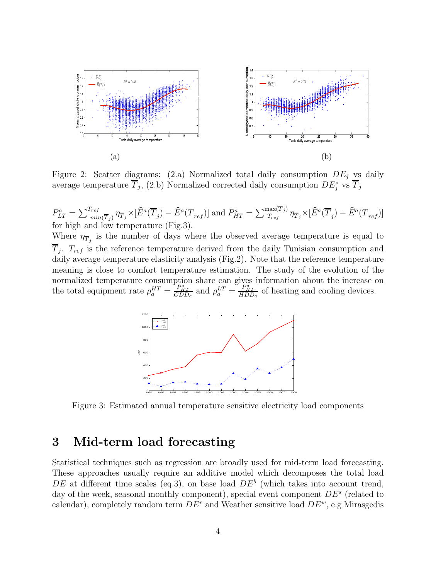

Figure 2: Scatter diagrams: (2.a) Normalized total daily consumption  $DE_i$  vs daily average temperature  $\overline{T}_j$ , (2.b) Normalized corrected daily consumption  $DE_j^*$  vs  $\overline{T}_j$ 

 $P_{LT}^a = \sum_{min}^{T_{ref}}$  $\sum_{r=1}^{T_{ref}} \eta_{\overline{T}_j} \times [\widehat{E}^a(\overline{T}_j) - \widehat{E}^a(T_{ref})]$  and  $P^a_{HT} = \sum_{T_{ref}}^{\max(T_j)} \eta_{\overline{T}_j} \times [\widehat{E}^a(\overline{T}_j) - \widehat{E}^a(T_{ref})]$ for high and low temperature (Fig.3). Where  $\eta_{\overline{T}_j}$  is the number of days where the observed average temperature is equal to  $T_j$ .  $T_{ref}$  is the reference temperature derived from the daily Tunisian consumption and daily average temperature elasticity analysis (Fig.2). Note that the reference temperature meaning is close to comfort temperature estimation. The study of the evolution of the

normalized temperature consumption share can gives information about the increase on the total equipment rate  $\rho_a^{HT} = \frac{P_{HT}^a}{CDD_a}$  and  $\rho_a^{LT} = \frac{P_{HT}^a}{HDD_a}$  of heating and cooling devices.



Figure 3: Estimated annual temperature sensitive electricity load components

### 3 Mid-term load forecasting

Statistical techniques such as regression are broadly used for mid-term load forecasting. These approaches usually require an additive model which decomposes the total load DE at different time scales (eq.3), on base load  $DE^b$  (which takes into account trend, day of the week, seasonal monthly component), special event component  $DE^s$  (related to calendar), completely random term  $DE^r$  and Weather sensitive load  $DE^w$ , e.g Mirasgedis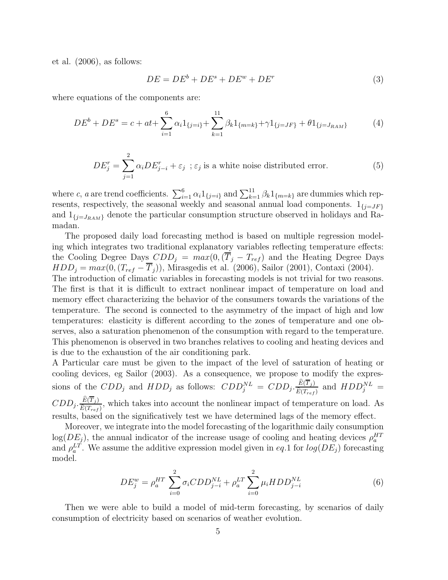et al. (2006), as follows:

$$
DE = DE^b + DE^s + DE^w + DE^r \tag{3}
$$

where equations of the components are:

$$
DE^{b} + DE^{s} = c + at + \sum_{i=1}^{6} \alpha_{i} 1_{\{j=i\}} + \sum_{k=1}^{11} \beta_{k} 1_{\{m=k\}} + \gamma 1_{\{j=JF\}} + \theta 1_{\{j=J_{RAM}\}} \tag{4}
$$

$$
DE_j^r = \sum_{j=1}^2 \alpha_i DE_{j-i}^r + \varepsilon_j \ \ ; \ \varepsilon_j \ \text{ is a white noise distributed error.} \tag{5}
$$

where c, a are trend coefficients.  $\sum_{i=1}^{6} \alpha_i 1_{\{j=i\}}$  and  $\sum_{k=1}^{11} \beta_k 1_{\{m=k\}}$  are dummies which represents, respectively, the seasonal weekly and seasonal annual load components.  $1_{\{j=JF\}}$ and  $1_{\{j=J_{RAM}\}}$  denote the particular consumption structure observed in holidays and Ramadan.

The proposed daily load forecasting method is based on multiple regression modeling which integrates two traditional explanatory variables reflecting temperature effects: the Cooling Degree Days  $CDD_i = max(0, (\overline{T}_i - T_{ref})$  and the Heating Degree Days  $HDD_i = max(0, (T_{ref} - T_i))$ , Mirasgedis et al. (2006), Sailor (2001), Contaxi (2004).

The introduction of climatic variables in forecasting models is not trivial for two reasons. The first is that it is difficult to extract nonlinear impact of temperature on load and memory effect characterizing the behavior of the consumers towards the variations of the temperature. The second is connected to the asymmetry of the impact of high and low temperatures: elasticity is different according to the zones of temperature and one observes, also a saturation phenomenon of the consumption with regard to the temperature. This phenomenon is observed in two branches relatives to cooling and heating devices and is due to the exhaustion of the air conditioning park.

A Particular care must be given to the impact of the level of saturation of heating or cooling devices, eg Sailor (2003). As a consequence, we propose to modify the expressions of the  $CDD_j$  and  $HDD_j$  as follows:  $CDD_j^{NL} = CDD_j \cdot \frac{E(T_j)}{\widehat{E}(T_{j+1})}$  $\frac{E(T_j)}{\widehat{E}(T_{ref})}$  and  $HDD_j^{NL}$  =  $CDD_j.\frac{E(T_j)}{\widehat{F}(T)}$  $\frac{E(T_f)}{\widehat{E}(T_{ref})}$ , which takes into account the nonlinear impact of temperature on load. As

results, based on the significatively test we have determined lags of the memory effect. Moreover, we integrate into the model forecasting of the logarithmic daily consumption  $log(DE_j)$ , the annual indicator of the increase usage of cooling and heating devices  $\rho_a^{HT}$ 

and  $\rho_a^{LT}$ . We assume the additive expression model given in eq.1 for  $log(DE_j)$  forecasting model.

$$
DE_j^w = \rho_a^{HT} \sum_{i=0}^2 \sigma_i CDD_{j-i}^{NL} + \rho_a^{LT} \sum_{i=0}^2 \mu_i HDD_{j-i}^{NL}
$$
 (6)

Then we were able to build a model of mid-term forecasting, by scenarios of daily consumption of electricity based on scenarios of weather evolution.